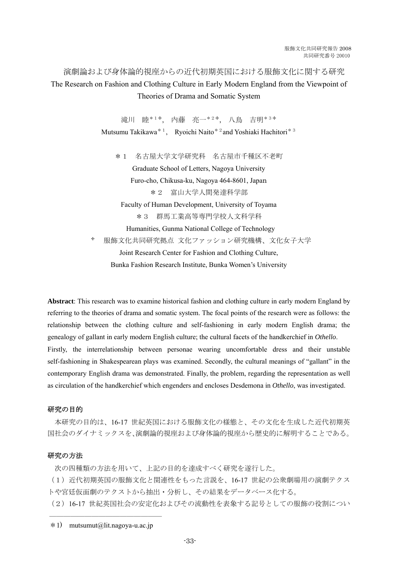演劇論および身体論的視座からの近代初期英国における服飾文化に関する研究 The Research on Fashion and Clothing Culture in Early Modern England from the Viewpoint of Theories of Drama and Somatic System

> 滝川 睦\*1✢, 内藤 亮一\*2✢, 八鳥 吉明\*3✢ Mutsumu Takikawa\*1, Ryoichi Naito\*2and Yoshiaki Hachitori\*3 \*1 名古屋大学文学研究科 名古屋市千種区不老町 Graduate School of Letters, Nagoya University

Furo-cho, Chikusa-ku, Nagoya 464-8601, Japan \*2 富山大学人間発達科学部 Faculty of Human Development, University of Toyama \*3 群馬工業高等専門学校人文科学科 Humanities, Gunma National College of Technology ✢ 服飾文化共同研究拠点 文化ファッション研究機構、文化女子大学 Joint Research Center for Fashion and Clothing Culture, Bunka Fashion Research Institute, Bunka Women's University

**Abstract**: This research was to examine historical fashion and clothing culture in early modern England by referring to the theories of drama and somatic system. The focal points of the research were as follows: the relationship between the clothing culture and self-fashioning in early modern English drama; the genealogy of gallant in early modern English culture; the cultural facets of the handkerchief in *Othello*. Firstly, the interrelationship between personae wearing uncomfortable dress and their unstable self-fashioning in Shakespearean plays was examined. Secondly, the cultural meanings of "gallant" in the contemporary English drama was demonstrated. Finally, the problem, regarding the representation as well as circulation of the handkerchief which engenders and encloses Desdemona in *Othello*, was investigated.

## 研究の目的

 本研究の目的は、16-17 世紀英国における服飾文化の様態と、その文化を生成した近代初期英 国社会のダイナミックスを、演劇論的視座および身体論的視座から歴史的に解明することである。

## 研究の方法

次の四種類の方法を用いて、上記の目的を達成すべく研究を遂行した。

(1)近代初期英国の服飾文化と関連性をもった言説を、16-17 世紀の公衆劇場用の演劇テクス トや宮廷仮面劇のテクストから抽出・分析し、その結果をデータベース化する。

(2)16-17 世紀英国社会の安定化およびその流動性を表象する記号としての服飾の役割につい

 $\mathcal{L}=\mathcal{L}=\mathcal{L}=\mathcal{L}=\mathcal{L}=\mathcal{L}=\mathcal{L}=\mathcal{L}=\mathcal{L}=\mathcal{L}=\mathcal{L}=\mathcal{L}=\mathcal{L}=\mathcal{L}=\mathcal{L}=\mathcal{L}=\mathcal{L}=\mathcal{L}=\mathcal{L}=\mathcal{L}=\mathcal{L}=\mathcal{L}=\mathcal{L}=\mathcal{L}=\mathcal{L}=\mathcal{L}=\mathcal{L}=\mathcal{L}=\mathcal{L}=\mathcal{L}=\mathcal{L}=\mathcal{L}=\mathcal{L}=\mathcal{L}=\mathcal{L}=\mathcal{L}=\mathcal{$ 

 $*1$ ) mutsumut@lit.nagova-u.ac.jp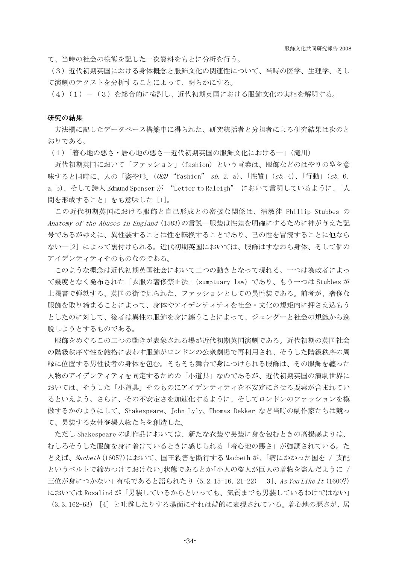て、当時の社会の様態を記した一次資料をもとに分析を行う。

(3)近代初期英国における身体概念と服飾文化の関連性について、当時の医学、生理学、そし て演劇のテクストを分析することによって、明らかにする。

(4)(1)-(3)を総合的に検討し、近代初期英国における服飾文化の実相を解明する。

## 研究の結果

 方法欄に記したデータベース構築中に得られた、研究統括者と分担者による研究結果は次のと おりである。

(1)「着心地の悪さ・居心地の悪さ―近代初期英国の服飾文化における―」(滝川)

 近代初期英国において「ファッション」(fashion)という言葉は、服飾などのはやりの型を意 味すると同時に、人の「姿や形」(OED "fashion" sb. 2. a)、「性質」(sb. 4)、「行動」(sb. 6. a, b)、そして詩人 Edmund Spenser が "Letter to Raleigh" において言明しているように、「人 間を形成すること」をも意味した [1]。

 この近代初期英国における服飾と自己形成との密接な関係は、清教徒 Phillip Stubbes の Anatomy of the Abuses in England (1583)の言説―服装は性差を明確にするために神が与えた記 号であるがゆえに、異性装することは性を転換することであり、己の性を冒涜することに他なら ない―[2] によって裏付けられる。近代初期英国においては、服飾はすなわち身体、そして個の アイデンティティそのものなのである。

 このような概念は近代初期英国社会において二つの動きとなって現れる。一つは為政者によっ て幾度となく発布された「衣服の奢侈禁止法」(sumptuary law)であり、もう一つは Stubbes が 上掲書で弾劾する、英国の街で見られた、ファッションとしての異性装である。前者が、奢侈な 服飾を取り締まることによって、身体やアイデンティティを社会・文化の規矩内に押さえ込もう としたのに対して、後者は異性の服飾を身に纏うことによって、ジェンダーと社会の規範から逸 脱しようとするものである。

 服飾をめぐるこの二つの動きが表象される場が近代初期英国演劇である。近代初期の英国社会 の階級秩序や性を厳格に表わす服飾がロンドンの公衆劇場で再利用され、そうした階級秩序の周 縁に位置する男性役者の身体を包む。そもそも舞台で身につけられる服飾は、その服飾を纏った 人物のアイデンティティを同定するための「小道具」なのであるが、近代初期英国の演劇世界に おいては、そうした「小道具」そのものにアイデンティティを不安定にさせる要素が含まれてい るといえよう。さらに、その不安定さを加速化するように、そしてロンドンのファッションを模 倣するかのようにして、Shakespeare、John Lyly、Thomas Dekker など当時の劇作家たちは競っ て、男装する女性登場人物たちを創造した。

 ただし Shakespeare の劇作品においては、新たな衣装や男装に身を包むときの高揚感よりは、 むしろそうした服飾を身に着けているときに感じられる「着心地の悪さ」が強調されている。た とえば、Macbeth (1605?)において、国王殺害を断行する Macbeth が、「病にかかった国を / 支配 というベルトで締めつけておけない」状態であるとか「小人の盗人が巨人の着物を盗んだように / 王位が身につかない」有様であると語られたり (5.2.15-16, 21-22) [3]、As You Like It (1600?) においては Rosalind が「男装しているからといっても、気質までも男装しているわけではない」 (3.3.162-63) [4] と吐露したりする場面にそれは端的に表現されている。着心地の悪さが、居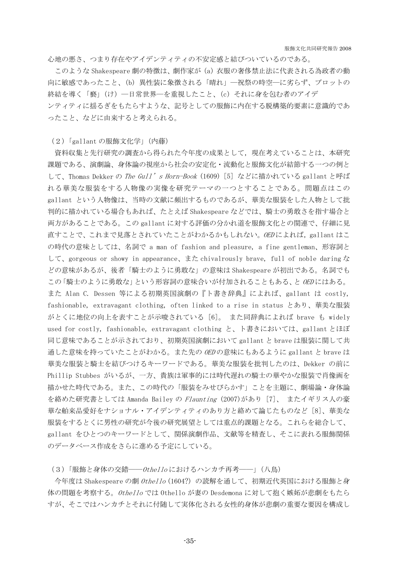心地の悪さ、つまり存在やアイデンティティの不安定感と結びついているのである。

 このような Shakespeare 劇の特徴は、劇作家が(a)衣服の奢侈禁止法に代表される為政者の動 向に敏感であったこと、(b)異性装に象徴される「晴れ」―祝祭の時空―に劣らず、プロットの 終結を導く「褻」(け)―日常世界―を重視したこと、(c)それに身を包む者のアイデ ンティティに揺るぎをもたらすような、記号としての服飾に内在する脱構築的要素に意識的であ ったこと、などに由来すると考えられる。

(2)「gallant の服飾文化学」(内藤)

資料収集と先行研究の調査から得られた今年度の成果として,現在考えていることは、本研究 課題である、演劇論、身体論の視座から社会の安定化・流動化と服飾文化が結節する一つの例と して、Thomas Dekker の The Gull's Horn-Book (1609) [5] などに描かれている gallant と呼ば れる華美な服装をする人物像の実像を研究テーマの一つとすることである。問題点はこの gallant という人物像は、当時の文献に頻出するものであるが、華美な服装をした人物として批 判的に描かれている場合もあれば、たとえば Shakespeare などでは、騎士の勇敢さを指す場合と 両方があることである。この gallant に対する評価の分かれ道を服飾文化との関連で、仔細に見 直すことで、これまで見落とされていたことがわかるかもしれない。OEDによれば、gallant はこ の時代の意味としては、名詞で a man of fashion and pleasure, a fine gentleman、形容詞と して、gorgeous or showy in appearance、また chivalrously brave, full of noble daring な どの意味があるが、後者「騎士のように勇敢な」の意味は Shakespeare が初出である。名詞でも この「騎士のように勇敢な」という形容詞の意味合いが付加されることもある、と OED にはある。 また Alan C. Dessen 等による初期英国演劇の『ト書き辞典』によれば、gallant は costly, fashionable, extravagant clothing, often linked to a rise in status とあり、華美な服装 がとくに地位の向上を表すことが示唆されている [6]。 また同辞典によれば brave も widely used for costly, fashionable, extravagant clothing と、ト書きにおいては、gallant とほぼ 同じ意味であることが示されており、初期英国演劇において gallant と brave は服装に関して共 通した意味を持っていたことがわかる。また先の OED の意味にもあるように gallant と brave は 華美な服装と騎士を結びつけるキーワードである。華美な服装を批判したのは、Dekker の前に Phillip Stubbes がいるが、一方、貴族は軍事的には時代遅れの騎士の華やかな服装で肖像画を 描かせた時代である。また、この時代の「服装をみせびらかす」ことを主題に、劇場論・身体論 を絡めた研究書としては Amanda Bailey の Flaunting (2007)があり [7]、 またイギリス人の豪 華な舶来品愛好をナショナル・アイデンティティのあり方と絡めて論じたものなど [8]、華美な 服装をするとくに男性の研究が今後の研究展望としては重点的課題となる。これらを総合して、 gallant をひとつのキーワードとして、関係演劇作品、文献等を精査し、そこに表れる服飾関係 のデータベース作成をさらに進める予定にしている。

(3)「服飾と身体の交錯――Othello におけるハンカチ再考――」(八鳥)

今年度は Shakespeare の劇 Othello (1604?) の読解を通して、初期近代英国における服飾と身 体の問題を考察する。 Othello では Othello が妻の Desdemona に対して抱く嫉妬が悲劇をもたら すが、そこではハンカチとそれに付随して実体化される女性的身体が悲劇の重要な要因を構成し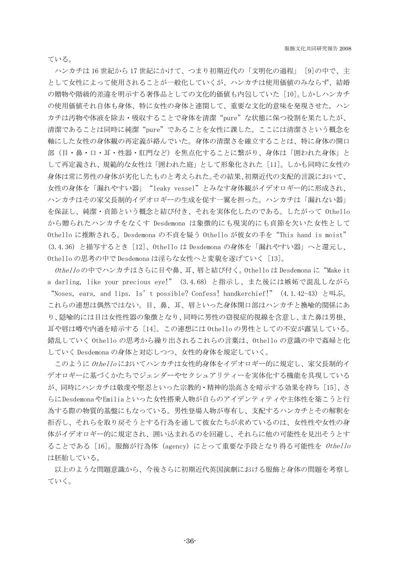ている。

ハンカチは 16 世紀から 17 世紀にかけて、つまり初期近代の「文明化の過程」 [9]の中で、主 として女性によって使用されることが一般化していくが、ハンカチは使用価値のみならず、結婚 の贈物や階級的差違を明示する奢侈品としての文化的価値も内包していた [10]。しかしハンカチ の使用価値それ自体も身体、特に女性の身体と連関して、重要な文化的意味を発現させた。ハン カチは汚物や体液を除去・吸収することで身体を清潔"pure"な状態に保つ役割を果たしたが、 清潔であることは同時に純潔"pure"であることを女性に課した。ここには清潔さという概念を 軸にした女性の身体観の再定義が絡んでいた。身体の清潔さを確立することは、特に身体の開口 部(目・鼻・口・耳・性器・肛門など)を焦点化することに繋がり、身体は「囲われた身体」と して再定義され、規範的な女性は「囲われた庭」として形象化された [11]。しかも同時に女性の 身体は常に男性の身体が劣化したものと考えられた。その結果、初期近代の支配的言説において、 女性の身体を「漏れやすい器」"leaky vessel"とみなす身体観がイデオロギー的に形成され、 ハンカチはその家父長制的イデオロギーの生成を促す一翼を担った。ハンカチは「漏れない器」 を保証し、純潔・貞節という概念と結び付き、それを実体化したのである。したがって Othello から贈られたハンカチをなくす Desdemona は象徴的にも現実的にも貞節を欠いた女性として Othello に推断される。Desdemona の不貞を疑う Othello が彼女の手を"This hand is moist" (3.4.36) と描写するとき [12]、Othello は Desdemona の身体を「漏れやすい器」へと還元し、 Othello の思考の中で Desdemona は淫らな女性へと変貌を遂げていく [13]。

Othello の中でハンカチはさらに目や鼻、耳、唇と結び付く。Othello は Desdemona に"Make it a darling, like your precious eye!" (3.4.68) と指示し、また後には嫉妬で混乱しながら "Noses, ears, and lips. Is't possible? Confess! handkerchief!" (4.1.42-43) と叫ぶ。 これらの連想は偶然ではない。目、鼻、耳、唇といった身体開口部はハンカチと換喩的関係にあ り、隠喩的には目は女性性器の象徴となり、同時に男性の窃視症的視線を含意し、また鼻は男根、 耳や唇は噂や内通を暗示する [14]。この連想には Othello の男性としての不安が露呈している。 錯乱していく Othello の思考から繰り出されるこれらの言葉は、Othello の意識の中で姦婦と化 していく Desdemona の身体と対応しつつ、女性的身体を規定していく。

このように Othelloにおいてハンカチは女性的身体をイデオロギー的に規定し、家父長制的イ デオロギーに基づくかたちでジェンダーやセクシュアリティーを実体化する機能を具現している が、同時にハンカチは敬虔や堅忍といった宗教的・精神的崇高さを暗示する効果を持ち [15]、さ らに Desdemonaや Emiliaといった女性搭乗人物が自らのアイデンティティや主体性を築こうと行 為する際の物質的基盤にもなっている。男性登場人物が専有し、支配するハンカチとその解釈を 拒否し、それらを取り戻そうとする行為を通して彼女たちが求めているのは、女性性や女性の身 体がイデオロギー的に規定され、囲い込まれるのを回避し、それらに他の可能性を見出そうとす ることである [16]。服飾が行為体 (agency) にとって重要な手段となり得る可能性を Othello は胚胎している。

以上のような問題意識から、今後さらに初期近代英国演劇における服飾と身体の問題を考察し ていく。